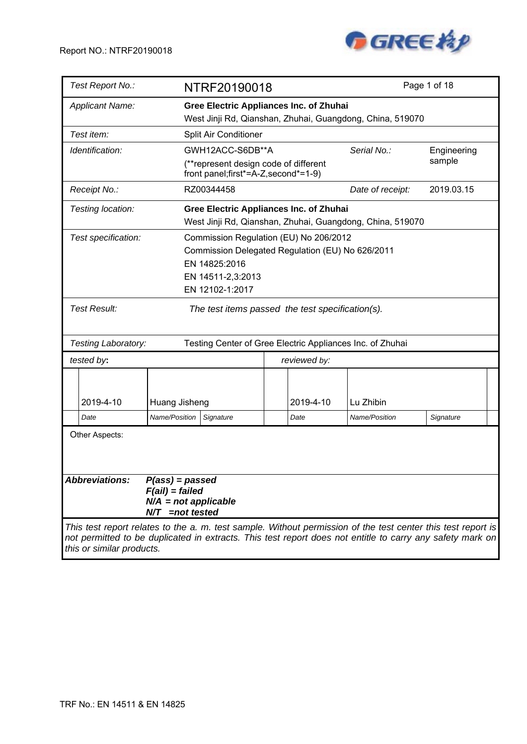

| Test Report No.:                                                                                                                                                                                                          |                                                                                      | NTRF20190018                                                                                                                                        |              |                                                           | Page 1 of 18 |  |
|---------------------------------------------------------------------------------------------------------------------------------------------------------------------------------------------------------------------------|--------------------------------------------------------------------------------------|-----------------------------------------------------------------------------------------------------------------------------------------------------|--------------|-----------------------------------------------------------|--------------|--|
| <b>Applicant Name:</b>                                                                                                                                                                                                    |                                                                                      | <b>Gree Electric Appliances Inc. of Zhuhai</b>                                                                                                      |              | West Jinji Rd, Qianshan, Zhuhai, Guangdong, China, 519070 |              |  |
| Test item:                                                                                                                                                                                                                |                                                                                      | Split Air Conditioner                                                                                                                               |              |                                                           |              |  |
| Identification:                                                                                                                                                                                                           |                                                                                      | GWH12ACC-S6DB**A                                                                                                                                    |              | Serial No.:                                               | Engineering  |  |
|                                                                                                                                                                                                                           |                                                                                      | (**represent design code of different<br>front panel;first*=A-Z, second*=1-9)                                                                       |              |                                                           | sample       |  |
| Receipt No.:                                                                                                                                                                                                              |                                                                                      | RZ00344458                                                                                                                                          |              | Date of receipt:                                          | 2019.03.15   |  |
| Testing location:                                                                                                                                                                                                         |                                                                                      | <b>Gree Electric Appliances Inc. of Zhuhai</b>                                                                                                      |              | West Jinji Rd, Qianshan, Zhuhai, Guangdong, China, 519070 |              |  |
| Test specification:                                                                                                                                                                                                       |                                                                                      | Commission Regulation (EU) No 206/2012<br>Commission Delegated Regulation (EU) No 626/2011<br>EN 14825:2016<br>EN 14511-2,3:2013<br>EN 12102-1:2017 |              |                                                           |              |  |
| <b>Test Result:</b>                                                                                                                                                                                                       |                                                                                      | The test items passed the test specification(s).                                                                                                    |              |                                                           |              |  |
| Testing Laboratory:                                                                                                                                                                                                       |                                                                                      |                                                                                                                                                     |              | Testing Center of Gree Electric Appliances Inc. of Zhuhai |              |  |
| tested by:                                                                                                                                                                                                                |                                                                                      |                                                                                                                                                     | reviewed by: |                                                           |              |  |
| 2019-4-10                                                                                                                                                                                                                 | Huang Jisheng                                                                        |                                                                                                                                                     | 2019-4-10    | Lu Zhibin                                                 |              |  |
| Date                                                                                                                                                                                                                      | Name/Position                                                                        | Signature                                                                                                                                           | Date         | Name/Position                                             | Signature    |  |
| Other Aspects:                                                                                                                                                                                                            |                                                                                      |                                                                                                                                                     |              |                                                           |              |  |
| <b>Abbreviations:</b>                                                                                                                                                                                                     | $P(ass) = passed$<br>$F(ai)$ = failed<br>$N/A$ = not applicable<br>$N/T$ =not tested |                                                                                                                                                     |              |                                                           |              |  |
| This test report relates to the a. m. test sample. Without permission of the test center this test report is<br>not permitted to be duplicated in extracts. This test report does not entitle to carry any safety mark on |                                                                                      |                                                                                                                                                     |              |                                                           |              |  |

*this or similar products.*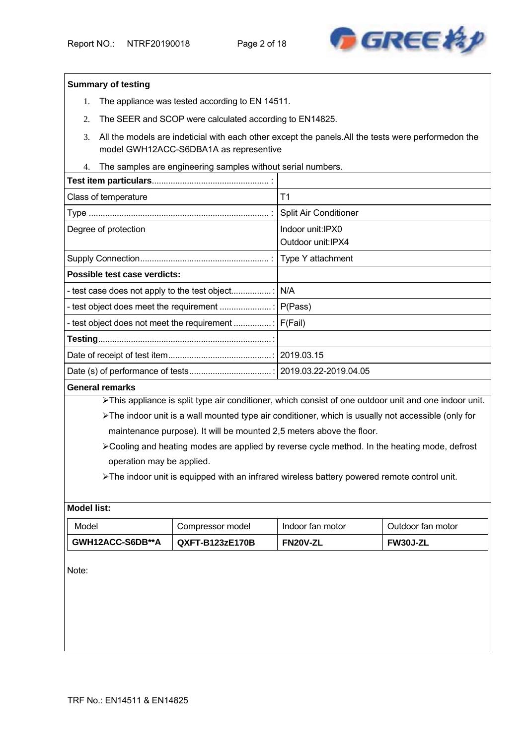

### **Summary of testing**

- 1. The appliance was tested according to EN 14511.
- 2. The SEER and SCOP were calculated according to EN14825.
- 3. All the models are indeticial with each other except the panels.All the tests were performedon the model GWH12ACC-S6DBA1A as representive
- 4. The samples are engineering samples without serial numbers.

| T <sub>1</sub>               |
|------------------------------|
| <b>Split Air Conditioner</b> |
| Indoor unit:IPX0             |
| Outdoor unit: IPX4           |
|                              |
|                              |
|                              |
|                              |
|                              |
|                              |
|                              |
|                              |
|                              |

#### **General remarks**

> This appliance is split type air conditioner, which consist of one outdoor unit and one indoor unit.

The indoor unit is a wall mounted type air conditioner, which is usually not accessible (only for maintenance purpose). It will be mounted 2,5 meters above the floor.

Cooling and heating modes are applied by reverse cycle method. In the heating mode, defrost operation may be applied.

The indoor unit is equipped with an infrared wireless battery powered remote control unit.

## **Model list:**

| Model            | Compressor model | Indoor fan motor | Outdoor fan motor |
|------------------|------------------|------------------|-------------------|
| GWH12ACC-S6DB**A | QXFT-B123zE170B  | <b>FN20V-ZL</b>  | <b>FW30J-ZL</b>   |

Note: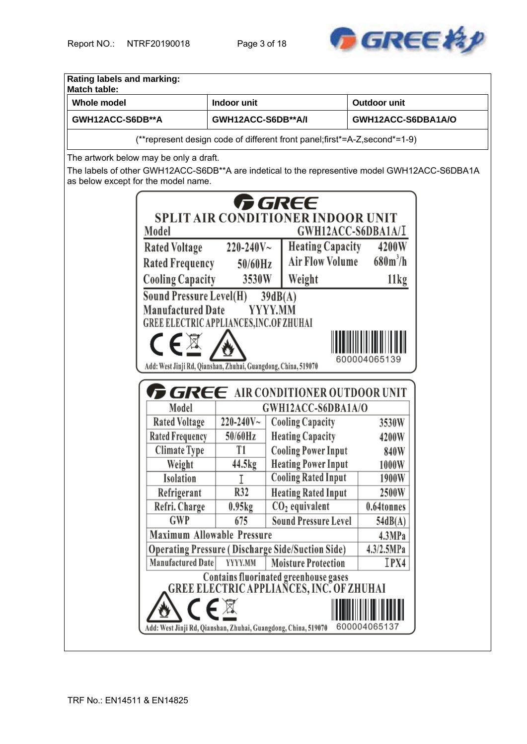

| Rating labels and marking:<br><b>Match table:</b>                                                                                    |                                                                |                                                                |                      |  |  |  |  |
|--------------------------------------------------------------------------------------------------------------------------------------|----------------------------------------------------------------|----------------------------------------------------------------|----------------------|--|--|--|--|
| <b>Whole model</b>                                                                                                                   | Indoor unit                                                    |                                                                | Outdoor unit         |  |  |  |  |
| GWH12ACC-S6DB**A                                                                                                                     | GWH12ACC-S6DB**A/I                                             |                                                                | GWH12ACC-S6DBA1A/O   |  |  |  |  |
| (**represent design code of different front panel; first*=A-Z, second*=1-9)                                                          |                                                                |                                                                |                      |  |  |  |  |
| The artwork below may be only a draft.                                                                                               |                                                                |                                                                |                      |  |  |  |  |
| The labels of other GWH12ACC-S6DB**A are indetical to the representive model GWH12ACC-S6DBA1A<br>as below except for the model name. |                                                                |                                                                |                      |  |  |  |  |
|                                                                                                                                      |                                                                |                                                                |                      |  |  |  |  |
|                                                                                                                                      |                                                                | <i>f GREE</i>                                                  |                      |  |  |  |  |
| Model                                                                                                                                |                                                                | SPLIT AIR CONDITIONER INDOOR UNIT                              | GWH12ACC-S6DBA1A/I   |  |  |  |  |
| <b>Rated Voltage</b>                                                                                                                 | $220 - 240V$ ~                                                 | <b>Heating Capacity</b>                                        | 4200W                |  |  |  |  |
| <b>Rated Frequency</b>                                                                                                               | $50/60$ Hz                                                     | <b>Air Flow Volume</b>                                         | $680m^3/h$           |  |  |  |  |
| <b>Cooling Capacity</b>                                                                                                              | 3530W                                                          | Weight                                                         | 11kg                 |  |  |  |  |
| <b>Sound Pressure Level(H)</b>                                                                                                       |                                                                | 39dB(A)                                                        |                      |  |  |  |  |
| <b>Manufactured Date</b>                                                                                                             |                                                                | YYYY.MM                                                        |                      |  |  |  |  |
|                                                                                                                                      | <b>GREE ELECTRIC APPLIANCES, INC. OF ZHUHAI</b>                |                                                                |                      |  |  |  |  |
|                                                                                                                                      |                                                                |                                                                |                      |  |  |  |  |
|                                                                                                                                      |                                                                |                                                                | 600004065139         |  |  |  |  |
|                                                                                                                                      | Add: West Jinji Rd, Qianshan, Zhuhai, Guangdong, China, 519070 |                                                                |                      |  |  |  |  |
|                                                                                                                                      |                                                                | <b>GREE</b> AIR CONDITIONER OUTDOOR UNIT                       |                      |  |  |  |  |
| Model                                                                                                                                |                                                                | GWH12ACC-S6DBA1A/O                                             |                      |  |  |  |  |
| <b>Rated Voltage</b>                                                                                                                 | $220 - 240V$ ~                                                 | <b>Cooling Capacity</b>                                        | 3530W                |  |  |  |  |
| <b>Rated Frequency</b>                                                                                                               | 50/60Hz                                                        | <b>Heating Capacity</b>                                        | 4200W                |  |  |  |  |
| <b>Climate Type</b>                                                                                                                  | T1                                                             | <b>Cooling Power Input</b>                                     | 840W                 |  |  |  |  |
| Weight                                                                                                                               | 44.5kg                                                         | <b>Heating Power Input</b>                                     | 1000W                |  |  |  |  |
| Isolation                                                                                                                            | T                                                              | <b>Cooling Rated Input</b>                                     | 1900W                |  |  |  |  |
| Refrigerant                                                                                                                          | R32                                                            | <b>Heating Rated Input</b>                                     | 2500W                |  |  |  |  |
| Refri. Charge                                                                                                                        | 0.95kg                                                         | $CO2$ equivalent                                               | 0.64tonnes           |  |  |  |  |
| <b>GWP</b>                                                                                                                           | 675<br><b>Maximum Allowable Pressure</b>                       | <b>Sound Pressure Level</b>                                    | 54dB(A)              |  |  |  |  |
|                                                                                                                                      |                                                                | <b>Operating Pressure (Discharge Side/Suction Side)</b>        | 4.3MPa<br>4.3/2.5MPa |  |  |  |  |
| Manufactured Date                                                                                                                    | YYYY.MM                                                        | <b>Moisture Protection</b>                                     | IPX4                 |  |  |  |  |
|                                                                                                                                      |                                                                | Contains fluorinated greenhouse gases                          |                      |  |  |  |  |
|                                                                                                                                      | <b>GREE ELECTRIC APPLIANCES, INC. OF ZHUHAI</b>                |                                                                |                      |  |  |  |  |
|                                                                                                                                      |                                                                |                                                                |                      |  |  |  |  |
|                                                                                                                                      |                                                                | Add: West Jinji Rd, Qianshan, Zhuhai, Guangdong, China, 519070 | 600004065137         |  |  |  |  |
|                                                                                                                                      |                                                                |                                                                |                      |  |  |  |  |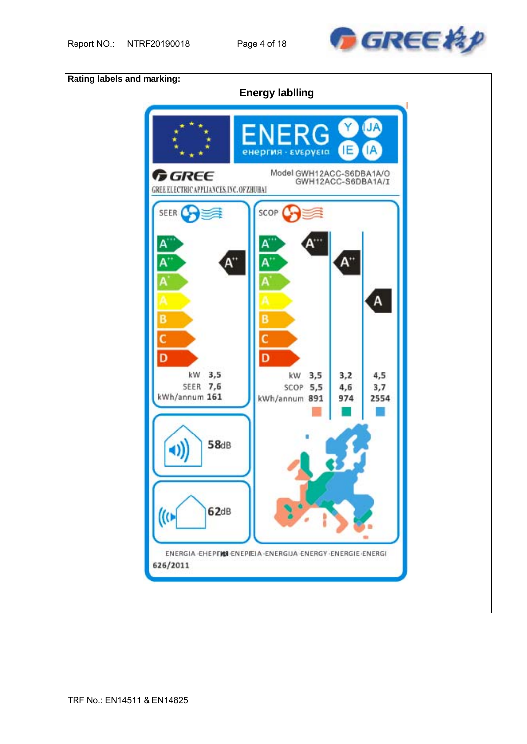

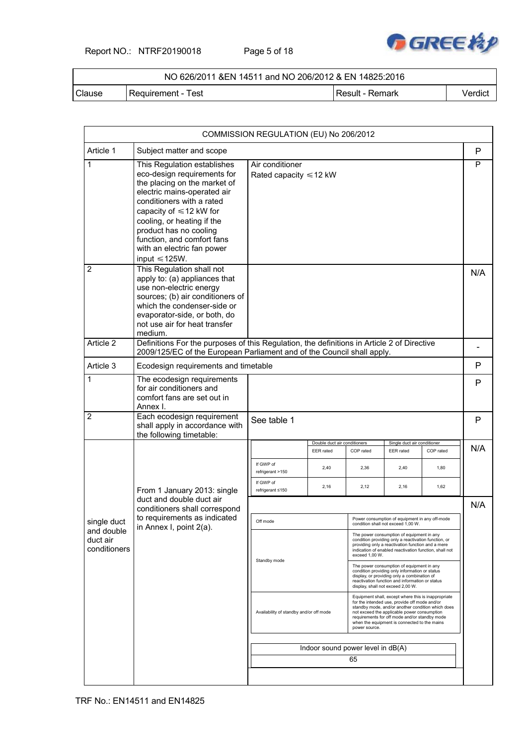Report NO.: NTRF20190018 Page 5 of 18



## NO 626/2011 &EN 14511 and NO 206/2012 & EN 14825:2016

Clause Requirement - Test Result - Result - Remark Verdict

| Subject matter and scope                                                                                                                                                                                                                                                                                                          |                                                                                                                    |                                      |                                                                                                                                                                                                                                    |                              |                                                                                                                              |                                                                                                                                                                                                                                                                                                                                                                                                                                                                              |
|-----------------------------------------------------------------------------------------------------------------------------------------------------------------------------------------------------------------------------------------------------------------------------------------------------------------------------------|--------------------------------------------------------------------------------------------------------------------|--------------------------------------|------------------------------------------------------------------------------------------------------------------------------------------------------------------------------------------------------------------------------------|------------------------------|------------------------------------------------------------------------------------------------------------------------------|------------------------------------------------------------------------------------------------------------------------------------------------------------------------------------------------------------------------------------------------------------------------------------------------------------------------------------------------------------------------------------------------------------------------------------------------------------------------------|
|                                                                                                                                                                                                                                                                                                                                   |                                                                                                                    |                                      |                                                                                                                                                                                                                                    |                              |                                                                                                                              | P                                                                                                                                                                                                                                                                                                                                                                                                                                                                            |
| This Regulation establishes<br>eco-design requirements for<br>the placing on the market of<br>electric mains-operated air<br>conditioners with a rated<br>capacity of $\leq 12$ kW for<br>cooling, or heating if the<br>product has no cooling<br>function, and comfort fans<br>with an electric fan power<br>input $\leq 125W$ . | Air conditioner                                                                                                    |                                      |                                                                                                                                                                                                                                    |                              |                                                                                                                              | P                                                                                                                                                                                                                                                                                                                                                                                                                                                                            |
| This Regulation shall not<br>apply to: (a) appliances that<br>use non-electric energy<br>sources; (b) air conditioners of<br>which the condenser-side or<br>evaporator-side, or both, do<br>not use air for heat transfer<br>medium.                                                                                              |                                                                                                                    |                                      |                                                                                                                                                                                                                                    |                              |                                                                                                                              | N/A                                                                                                                                                                                                                                                                                                                                                                                                                                                                          |
|                                                                                                                                                                                                                                                                                                                                   |                                                                                                                    |                                      |                                                                                                                                                                                                                                    |                              |                                                                                                                              |                                                                                                                                                                                                                                                                                                                                                                                                                                                                              |
|                                                                                                                                                                                                                                                                                                                                   |                                                                                                                    |                                      |                                                                                                                                                                                                                                    |                              |                                                                                                                              | P                                                                                                                                                                                                                                                                                                                                                                                                                                                                            |
| for air conditioners and<br>comfort fans are set out in<br>Annex I.                                                                                                                                                                                                                                                               |                                                                                                                    |                                      |                                                                                                                                                                                                                                    |                              |                                                                                                                              |                                                                                                                                                                                                                                                                                                                                                                                                                                                                              |
| Each ecodesign requirement<br>shall apply in accordance with<br>the following timetable:                                                                                                                                                                                                                                          | See table 1                                                                                                        |                                      |                                                                                                                                                                                                                                    |                              |                                                                                                                              | P                                                                                                                                                                                                                                                                                                                                                                                                                                                                            |
|                                                                                                                                                                                                                                                                                                                                   |                                                                                                                    | EER rated                            | COP rated                                                                                                                                                                                                                          | <b>EER</b> rated             | COP rated                                                                                                                    | N/A                                                                                                                                                                                                                                                                                                                                                                                                                                                                          |
|                                                                                                                                                                                                                                                                                                                                   | If GWP of<br>refrigerant >150                                                                                      | 2,40                                 | 2,36                                                                                                                                                                                                                               | 2,40                         | 1,80                                                                                                                         |                                                                                                                                                                                                                                                                                                                                                                                                                                                                              |
| From 1 January 2013: single                                                                                                                                                                                                                                                                                                       | If GWP of<br>refrigerant ≤150                                                                                      | 2,16                                 | 2,12                                                                                                                                                                                                                               | 2,16                         | 1,62                                                                                                                         |                                                                                                                                                                                                                                                                                                                                                                                                                                                                              |
|                                                                                                                                                                                                                                                                                                                                   |                                                                                                                    |                                      |                                                                                                                                                                                                                                    |                              |                                                                                                                              |                                                                                                                                                                                                                                                                                                                                                                                                                                                                              |
| to requirements as indicated                                                                                                                                                                                                                                                                                                      | Off mode                                                                                                           |                                      | Power consumption of equipment in any off-mode                                                                                                                                                                                     |                              |                                                                                                                              |                                                                                                                                                                                                                                                                                                                                                                                                                                                                              |
|                                                                                                                                                                                                                                                                                                                                   | Standby mode                                                                                                       |                                      | The power consumption of equipment in any<br>condition providing only a reactivation function, or<br>providing only a reactivation function and a mere<br>indication of enabled reactivation function, shall not<br>exceed 1,00 W. |                              |                                                                                                                              |                                                                                                                                                                                                                                                                                                                                                                                                                                                                              |
|                                                                                                                                                                                                                                                                                                                                   |                                                                                                                    |                                      | The power consumption of equipment in any<br>condition providing only information or status<br>display, or providing only a combination of<br>reactivation function and information or status                                      |                              |                                                                                                                              |                                                                                                                                                                                                                                                                                                                                                                                                                                                                              |
|                                                                                                                                                                                                                                                                                                                                   | Availability of standby and/or off mode                                                                            |                                      |                                                                                                                                                                                                                                    |                              |                                                                                                                              |                                                                                                                                                                                                                                                                                                                                                                                                                                                                              |
|                                                                                                                                                                                                                                                                                                                                   |                                                                                                                    |                                      |                                                                                                                                                                                                                                    |                              |                                                                                                                              |                                                                                                                                                                                                                                                                                                                                                                                                                                                                              |
|                                                                                                                                                                                                                                                                                                                                   | Indoor sound power level in dB(A)<br>65                                                                            |                                      |                                                                                                                                                                                                                                    |                              |                                                                                                                              |                                                                                                                                                                                                                                                                                                                                                                                                                                                                              |
|                                                                                                                                                                                                                                                                                                                                   | The ecodesign requirements<br>duct and double duct air<br>conditioners shall correspond<br>in Annex I, point 2(a). | Ecodesign requirements and timetable | Rated capacity $\leq 12$ kW                                                                                                                                                                                                        | Double duct air conditioners | 2009/125/EC of the European Parliament and of the Council shall apply.<br>display, shall not exceed 2,00 W.<br>power source. | Definitions For the purposes of this Regulation, the definitions in Article 2 of Directive<br>Single duct air conditioner<br>condition shall not exceed 1,00 W.<br>Equipment shall, except where this is inappropriate<br>for the intended use, provide off mode and/or<br>standby mode, and/or another condition which does<br>not exceed the applicable power consumption<br>requirements for off mode and/or standby mode<br>when the equipment is connected to the mains |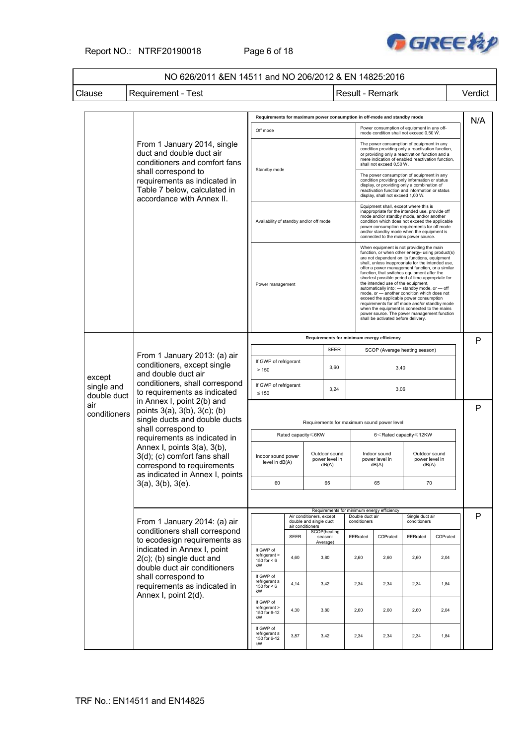Report NO.: NTRF20190018 Page 6 of 18



#### NO 626/2011 &EN 14511 and NO 206/2012 & EN 14825:2016 Clause Requirement - Test Result - Result - Remark Perdict From 1 January 2014, single duct and double duct air conditioners and comfort fans shall correspond to requirements as indicated in Table 7 below, calculated in accordance with Annex II. **Requirements for maximum power consumption in off-mode and standby mode**  Power consumption of equipment in any off-<br>
mode condition shall not exceed 0,50 W. Standby mode The power consumption of equipment in any condition providing only a reactivation function, or providing only a reactivation function and a mere indication of enabled reactivation function, shall not exceed 0,50 W. The power consumption of equipment in any condition providing only information or status display, or providing only a combination of reactivation function and information or status display, shall not exceed 1,00 W. Availability of standby and/or off mode Equipment shall, except where this is inappropriate for the intended use, provide off mode and/or standby mode, and/or another condition which does not exceed the applicable power consumption requirements for off mode and/or standby mode when the equipment is connected to the mains power source. Power management When equipment is not providing the main<br>function, or when other energy- using product(s)<br>are not dependent on its functions, equipment<br>shall, unless inappropriate for the intended use,<br>offer a power management function, o automatically into: — standby mode, or — off mode, or — another condition which does not exceed the applicable power consumption requirements for off mode and/or standby mode when the equipment is connected to the mains power source. The power management function shall be activated before delivery. N/A except single and double duct air conditioners From 1 January 2013: (a) air conditioners, except single and double duct air conditioners, shall correspond to requirements as indicated in Annex I, point 2(b) and points 3(a), 3(b), 3(c); (b) single ducts and double ducts shall correspond to requirements as indicated in Annex I, points 3(a), 3(b), 3(d); (c) comfort fans shall correspond to requirements as indicated in Annex I, points 3(a), 3(b), 3(e). **Requirements for minimum energy efficiency** SEER SCOP (Average heating season) If GWP of refrigerant  $> 150$  3,60 3,40 If GWP of refrigerant  $≤ 150$  3,24 3,06 P Requirements for maximum sound power level Rated capacity≤6KW 6<Rated capacity≤12KW Indoor sound powe level in dB(A) Outdoor sound power level in dB(A) Indoor sound power level in dB(A) Outdoor sound power level in dB(A) 60 65 65 70 P From 1 January 2014: (a) air conditioners shall correspond to ecodesign requirements as indicated in Annex I, point 2(c); (b) single duct and double duct air conditioners shall correspond to requirements as indicated in Annex I, point 2(d). ergy effi Air conditioners, except double and single duct air con Double duct air conditioners Single duct air conditioners SEER SCOP(heating season: Average) EERrated COPrated EERrated COPrated If GWP of refrigerant > 150 for < 6 kW 4,60 3,80 2,60 2,60 2,60 2,04 If GWP of refrigerant ≤ 150 for < 6 kW 4,14 3,42 2,34 2,34 2,34 1,84 If GWP of refrigerant > 150 for 6-12 kW 4,30 3,80 2,60 2,60 2,60 2,04 If GWP of refrigerant ≤ 150 for 6-12 kW 3,87 3,42 2,34 2,34 2,34 1,84 P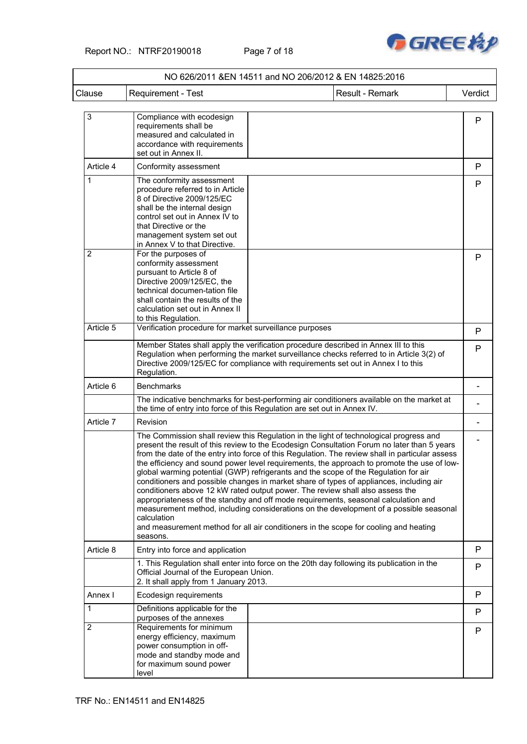

|                |                                                                                                                                                                                                                                                      | NO 626/2011 &EN 14511 and NO 206/2012 & EN 14825:2016                                                                                                                                                                                                                                                                                                                                                                                                                                                                                                                                                                                                                                                                                                                                                                                                                                                                             |         |
|----------------|------------------------------------------------------------------------------------------------------------------------------------------------------------------------------------------------------------------------------------------------------|-----------------------------------------------------------------------------------------------------------------------------------------------------------------------------------------------------------------------------------------------------------------------------------------------------------------------------------------------------------------------------------------------------------------------------------------------------------------------------------------------------------------------------------------------------------------------------------------------------------------------------------------------------------------------------------------------------------------------------------------------------------------------------------------------------------------------------------------------------------------------------------------------------------------------------------|---------|
| Clause         | <b>Requirement - Test</b>                                                                                                                                                                                                                            | Result - Remark                                                                                                                                                                                                                                                                                                                                                                                                                                                                                                                                                                                                                                                                                                                                                                                                                                                                                                                   | Verdict |
| 3              | Compliance with ecodesign<br>requirements shall be<br>measured and calculated in<br>accordance with requirements<br>set out in Annex II.                                                                                                             |                                                                                                                                                                                                                                                                                                                                                                                                                                                                                                                                                                                                                                                                                                                                                                                                                                                                                                                                   | P       |
| Article 4      | Conformity assessment                                                                                                                                                                                                                                |                                                                                                                                                                                                                                                                                                                                                                                                                                                                                                                                                                                                                                                                                                                                                                                                                                                                                                                                   | P       |
| 1              | The conformity assessment<br>procedure referred to in Article<br>8 of Directive 2009/125/EC<br>shall be the internal design<br>control set out in Annex IV to<br>that Directive or the<br>management system set out<br>in Annex V to that Directive. |                                                                                                                                                                                                                                                                                                                                                                                                                                                                                                                                                                                                                                                                                                                                                                                                                                                                                                                                   | P       |
| $\overline{2}$ | For the purposes of<br>conformity assessment<br>pursuant to Article 8 of<br>Directive 2009/125/EC, the<br>technical documen-tation file<br>shall contain the results of the<br>calculation set out in Annex II<br>to this Regulation.                |                                                                                                                                                                                                                                                                                                                                                                                                                                                                                                                                                                                                                                                                                                                                                                                                                                                                                                                                   | P       |
| Article 5      | Verification procedure for market surveillance purposes                                                                                                                                                                                              |                                                                                                                                                                                                                                                                                                                                                                                                                                                                                                                                                                                                                                                                                                                                                                                                                                                                                                                                   | P       |
|                | Regulation.                                                                                                                                                                                                                                          | Member States shall apply the verification procedure described in Annex III to this<br>Regulation when performing the market surveillance checks referred to in Article 3(2) of<br>Directive 2009/125/EC for compliance with requirements set out in Annex I to this                                                                                                                                                                                                                                                                                                                                                                                                                                                                                                                                                                                                                                                              | P       |
| Article 6      | <b>Benchmarks</b>                                                                                                                                                                                                                                    |                                                                                                                                                                                                                                                                                                                                                                                                                                                                                                                                                                                                                                                                                                                                                                                                                                                                                                                                   |         |
|                |                                                                                                                                                                                                                                                      | The indicative benchmarks for best-performing air conditioners available on the market at<br>the time of entry into force of this Regulation are set out in Annex IV.                                                                                                                                                                                                                                                                                                                                                                                                                                                                                                                                                                                                                                                                                                                                                             |         |
| Article 7      | Revision                                                                                                                                                                                                                                             |                                                                                                                                                                                                                                                                                                                                                                                                                                                                                                                                                                                                                                                                                                                                                                                                                                                                                                                                   |         |
|                | calculation<br>seasons.                                                                                                                                                                                                                              | The Commission shall review this Regulation in the light of technological progress and<br>present the result of this review to the Ecodesign Consultation Forum no later than 5 years<br>from the date of the entry into force of this Regulation. The review shall in particular assess<br>the efficiency and sound power level requirements, the approach to promote the use of low-<br>global warming potential (GWP) refrigerants and the scope of the Regulation for air<br>conditioners and possible changes in market share of types of appliances, including air<br>conditioners above 12 kW rated output power. The review shall also assess the<br>appropriateness of the standby and off mode requirements, seasonal calculation and<br>measurement method, including considerations on the development of a possible seasonal<br>and measurement method for all air conditioners in the scope for cooling and heating |         |
| Article 8      | Entry into force and application                                                                                                                                                                                                                     |                                                                                                                                                                                                                                                                                                                                                                                                                                                                                                                                                                                                                                                                                                                                                                                                                                                                                                                                   | P       |
|                | Official Journal of the European Union.<br>2. It shall apply from 1 January 2013.                                                                                                                                                                    | 1. This Regulation shall enter into force on the 20th day following its publication in the                                                                                                                                                                                                                                                                                                                                                                                                                                                                                                                                                                                                                                                                                                                                                                                                                                        | P       |
| Annex I        | Ecodesign requirements                                                                                                                                                                                                                               |                                                                                                                                                                                                                                                                                                                                                                                                                                                                                                                                                                                                                                                                                                                                                                                                                                                                                                                                   | P       |
| $\mathbf{1}$   | Definitions applicable for the<br>purposes of the annexes                                                                                                                                                                                            |                                                                                                                                                                                                                                                                                                                                                                                                                                                                                                                                                                                                                                                                                                                                                                                                                                                                                                                                   | P       |
| $\overline{2}$ | Requirements for minimum<br>energy efficiency, maximum<br>power consumption in off-<br>mode and standby mode and<br>for maximum sound power<br>level                                                                                                 |                                                                                                                                                                                                                                                                                                                                                                                                                                                                                                                                                                                                                                                                                                                                                                                                                                                                                                                                   | P       |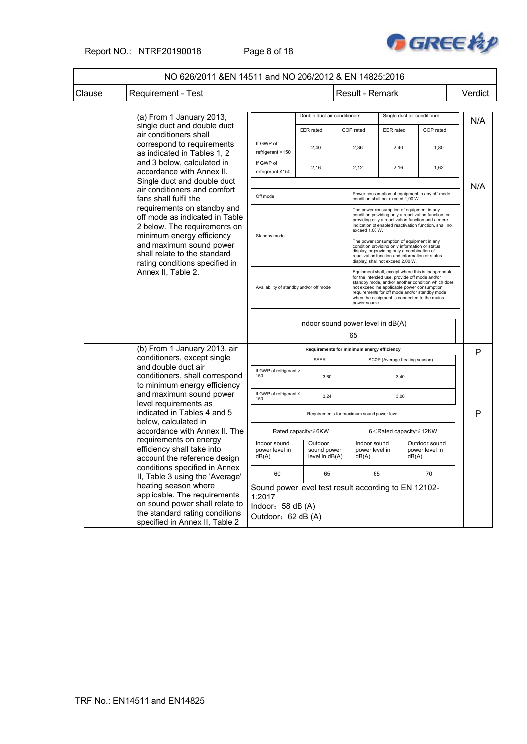Report NO.: NTRF20190018 Page 8 of 18



|        | NO 626/2011 &EN 14511 and NO 206/2012 & EN 14825:2016                                                                                                      |                                                                                                           |  |                                                                                                                                                                                                                                                                                                                            |                                                                             |                                                                                                                                                                                                                                    |                                                                                                                                                                                                                  |         |
|--------|------------------------------------------------------------------------------------------------------------------------------------------------------------|-----------------------------------------------------------------------------------------------------------|--|----------------------------------------------------------------------------------------------------------------------------------------------------------------------------------------------------------------------------------------------------------------------------------------------------------------------------|-----------------------------------------------------------------------------|------------------------------------------------------------------------------------------------------------------------------------------------------------------------------------------------------------------------------------|------------------------------------------------------------------------------------------------------------------------------------------------------------------------------------------------------------------|---------|
| Clause | Requirement - Test                                                                                                                                         |                                                                                                           |  |                                                                                                                                                                                                                                                                                                                            | Result - Remark                                                             |                                                                                                                                                                                                                                    |                                                                                                                                                                                                                  | Verdict |
|        | (a) From 1 January 2013,<br>single duct and double duct                                                                                                    |                                                                                                           |  | Double duct air conditioners                                                                                                                                                                                                                                                                                               |                                                                             |                                                                                                                                                                                                                                    | Single duct air conditioner                                                                                                                                                                                      | N/A     |
|        | air conditioners shall<br>correspond to requirements                                                                                                       | If GWP of                                                                                                 |  | <b>EER</b> rated                                                                                                                                                                                                                                                                                                           | COP rated                                                                   | <b>EER</b> rated                                                                                                                                                                                                                   | COP rated                                                                                                                                                                                                        |         |
|        | as indicated in Tables 1, 2<br>and 3 below, calculated in                                                                                                  | refrigerant >150                                                                                          |  | 2,40                                                                                                                                                                                                                                                                                                                       | 2,36                                                                        | 2,40                                                                                                                                                                                                                               | 1,80                                                                                                                                                                                                             |         |
|        | accordance with Annex II.<br>Single duct and double duct                                                                                                   | If GWP of<br>refrigerant ≤150                                                                             |  | 2,16                                                                                                                                                                                                                                                                                                                       | 2,12                                                                        | 2,16                                                                                                                                                                                                                               | 1,62                                                                                                                                                                                                             |         |
|        | air conditioners and comfort<br>fans shall fulfil the                                                                                                      | Off mode                                                                                                  |  |                                                                                                                                                                                                                                                                                                                            |                                                                             | condition shall not exceed 1,00 W.                                                                                                                                                                                                 | Power consumption of equipment in any off-mode                                                                                                                                                                   | N/A     |
|        | requirements on standby and<br>off mode as indicated in Table<br>2 below. The requirements on                                                              |                                                                                                           |  |                                                                                                                                                                                                                                                                                                                            | exceed 1,00 W.                                                              |                                                                                                                                                                                                                                    | The power consumption of equipment in any<br>condition providing only a reactivation function, or<br>providing only a reactivation function and a mere<br>indication of enabled reactivation function, shall not |         |
|        | minimum energy efficiency<br>and maximum sound power<br>shall relate to the standard<br>rating conditions specified in                                     | Standby mode                                                                                              |  |                                                                                                                                                                                                                                                                                                                            |                                                                             | The power consumption of equipment in any<br>condition providing only information or status<br>display, or providing only a combination of<br>reactivation function and information or status<br>display, shall not exceed 2.00 W. |                                                                                                                                                                                                                  |         |
|        | Annex II, Table 2.                                                                                                                                         | Availability of standby and/or off mode                                                                   |  | Equipment shall, except where this is inappropriate<br>for the intended use, provide off mode and/or<br>standby mode, and/or another condition which does<br>not exceed the applicable power consumption<br>requirements for off mode and/or standby mode<br>when the equipment is connected to the mains<br>power source. |                                                                             |                                                                                                                                                                                                                                    |                                                                                                                                                                                                                  |         |
|        |                                                                                                                                                            |                                                                                                           |  |                                                                                                                                                                                                                                                                                                                            | Indoor sound power level in dB(A)                                           |                                                                                                                                                                                                                                    |                                                                                                                                                                                                                  |         |
|        |                                                                                                                                                            | 65                                                                                                        |  |                                                                                                                                                                                                                                                                                                                            |                                                                             |                                                                                                                                                                                                                                    |                                                                                                                                                                                                                  |         |
|        | (b) From 1 January 2013, air<br>conditioners, except single                                                                                                | <b>SEER</b>                                                                                               |  |                                                                                                                                                                                                                                                                                                                            | Requirements for minimum energy efficiency<br>SCOP (Average heating season) | P                                                                                                                                                                                                                                  |                                                                                                                                                                                                                  |         |
|        | and double duct air<br>conditioners, shall correspond<br>to minimum energy efficiency                                                                      | If GWP of refrigerant ><br>150                                                                            |  | 3,60                                                                                                                                                                                                                                                                                                                       |                                                                             | 3,40                                                                                                                                                                                                                               |                                                                                                                                                                                                                  |         |
|        | and maximum sound power<br>level requirements as                                                                                                           | If GWP of refrigerant $\leq$<br>150                                                                       |  | 3,24                                                                                                                                                                                                                                                                                                                       |                                                                             | 3,06                                                                                                                                                                                                                               |                                                                                                                                                                                                                  |         |
|        | indicated in Tables 4 and 5<br>below, calculated in                                                                                                        | Requirements for maximum sound power level                                                                |  |                                                                                                                                                                                                                                                                                                                            |                                                                             |                                                                                                                                                                                                                                    | P                                                                                                                                                                                                                |         |
|        | accordance with Annex II. The<br>requirements on energy                                                                                                    | Rated capacity ≤6KW                                                                                       |  |                                                                                                                                                                                                                                                                                                                            |                                                                             |                                                                                                                                                                                                                                    | 6 <rated 12kw<="" capacity="" td="" ≤=""><td></td></rated>                                                                                                                                                       |         |
|        | efficiency shall take into<br>account the reference design                                                                                                 | Indoor sound<br>power level in<br>dB(A)                                                                   |  | Outdoor<br>sound power<br>level in $dB(A)$                                                                                                                                                                                                                                                                                 | Indoor sound<br>power level in<br>dB(A)                                     |                                                                                                                                                                                                                                    | Outdoor sound<br>power level in<br>dB(A)                                                                                                                                                                         |         |
|        | conditions specified in Annex<br>II, Table 3 using the 'Average'                                                                                           | 60                                                                                                        |  | 65                                                                                                                                                                                                                                                                                                                         | 65                                                                          |                                                                                                                                                                                                                                    | 70                                                                                                                                                                                                               |         |
|        | heating season where<br>applicable. The requirements<br>on sound power shall relate to<br>the standard rating conditions<br>specified in Annex II, Table 2 | Sound power level test result according to EN 12102-<br>1:2017<br>Indoor: 58 dB (A)<br>Outdoor: 62 dB (A) |  |                                                                                                                                                                                                                                                                                                                            |                                                                             |                                                                                                                                                                                                                                    |                                                                                                                                                                                                                  |         |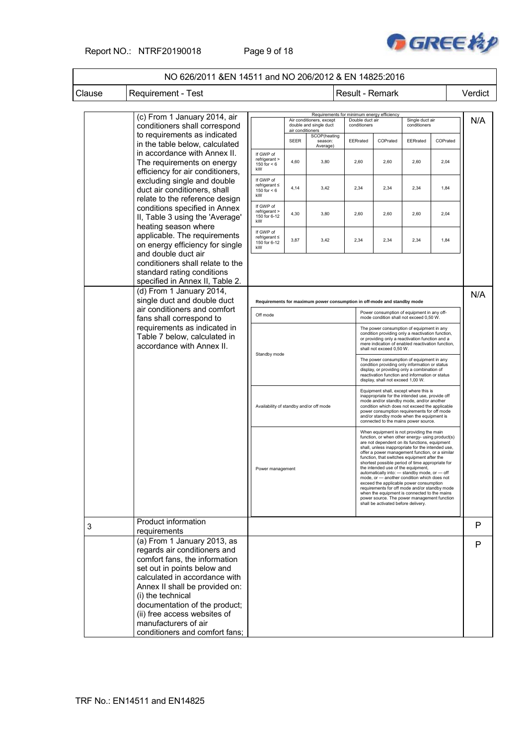Report NO.: NTRF20190018 Page 9 of 18



|        | NO 626/2011 &EN 14511 and NO 206/2012 & EN 14825:2016                                                                                                                                                                                                                                                        |                                                                         |                  |                                                                                                  |                                 |                                                                                                                                                                                                                                                                                                                                                                                                                                                                                                                                                                                                                                                                                                                                 |                                 |          |         |
|--------|--------------------------------------------------------------------------------------------------------------------------------------------------------------------------------------------------------------------------------------------------------------------------------------------------------------|-------------------------------------------------------------------------|------------------|--------------------------------------------------------------------------------------------------|---------------------------------|---------------------------------------------------------------------------------------------------------------------------------------------------------------------------------------------------------------------------------------------------------------------------------------------------------------------------------------------------------------------------------------------------------------------------------------------------------------------------------------------------------------------------------------------------------------------------------------------------------------------------------------------------------------------------------------------------------------------------------|---------------------------------|----------|---------|
| Clause | <b>Requirement - Test</b>                                                                                                                                                                                                                                                                                    |                                                                         |                  |                                                                                                  | <b>Result - Remark</b>          |                                                                                                                                                                                                                                                                                                                                                                                                                                                                                                                                                                                                                                                                                                                                 |                                 |          | Verdict |
|        | (c) From 1 January 2014, air<br>conditioners shall correspond                                                                                                                                                                                                                                                |                                                                         | air conditioners | Requirements for minimum energy efficiency<br>Air conditioners, except<br>double and single duct | Double duct air<br>conditioners |                                                                                                                                                                                                                                                                                                                                                                                                                                                                                                                                                                                                                                                                                                                                 | Single duct air<br>conditioners |          | N/A     |
|        | to requirements as indicated<br>in the table below, calculated                                                                                                                                                                                                                                               |                                                                         | <b>SEER</b>      | SCOP(heating<br>season:<br>Average)                                                              | EERrated                        | COPrated                                                                                                                                                                                                                                                                                                                                                                                                                                                                                                                                                                                                                                                                                                                        | EERrated                        | COPrated |         |
|        | in accordance with Annex II.<br>The requirements on energy<br>efficiency for air conditioners,                                                                                                                                                                                                               | If GWP of<br>refrigerant ><br>150 for $< 6$<br>kW                       | 4,60             | 3,80                                                                                             | 2,60                            | 2,60                                                                                                                                                                                                                                                                                                                                                                                                                                                                                                                                                                                                                                                                                                                            | 2,60                            | 2,04     |         |
|        | excluding single and double<br>duct air conditioners, shall<br>relate to the reference design                                                                                                                                                                                                                | If GWP of<br>$refrigerant \leq$<br>150 for $< 6$<br>kW                  | 4,14             | 3,42                                                                                             | 2,34                            | 2,34                                                                                                                                                                                                                                                                                                                                                                                                                                                                                                                                                                                                                                                                                                                            | 2,34                            | 1,84     |         |
|        | conditions specified in Annex<br>II, Table 3 using the 'Average'                                                                                                                                                                                                                                             | If GWP of<br>refrigerant ><br>150 for 6-12<br>kW                        | 4,30             | 3,80                                                                                             | 2,60                            | 2,60                                                                                                                                                                                                                                                                                                                                                                                                                                                                                                                                                                                                                                                                                                                            | 2,60                            | 2,04     |         |
|        | heating season where<br>applicable. The requirements<br>on energy efficiency for single                                                                                                                                                                                                                      | If GWP of<br>refrigerant ≤<br>150 for 6-12<br>kW                        | 3,87             | 3,42                                                                                             | 2,34                            | 2,34                                                                                                                                                                                                                                                                                                                                                                                                                                                                                                                                                                                                                                                                                                                            | 2,34                            | 1,84     |         |
|        | and double duct air<br>conditioners shall relate to the<br>standard rating conditions<br>specified in Annex II, Table 2.                                                                                                                                                                                     |                                                                         |                  |                                                                                                  |                                 |                                                                                                                                                                                                                                                                                                                                                                                                                                                                                                                                                                                                                                                                                                                                 |                                 |          |         |
|        | (d) From 1 January 2014,<br>single duct and double duct                                                                                                                                                                                                                                                      | Requirements for maximum power consumption in off-mode and standby mode |                  |                                                                                                  |                                 |                                                                                                                                                                                                                                                                                                                                                                                                                                                                                                                                                                                                                                                                                                                                 |                                 |          |         |
|        | air conditioners and comfort<br>fans shall correspond to                                                                                                                                                                                                                                                     | Off mode                                                                |                  |                                                                                                  |                                 | Power consumption of equipment in any off-<br>mode condition shall not exceed 0,50 W.                                                                                                                                                                                                                                                                                                                                                                                                                                                                                                                                                                                                                                           |                                 |          |         |
|        | requirements as indicated in<br>Table 7 below, calculated in<br>accordance with Annex II.                                                                                                                                                                                                                    |                                                                         |                  |                                                                                                  |                                 | The power consumption of equipment in any<br>condition providing only a reactivation function,<br>or providing only a reactivation function and a<br>mere indication of enabled reactivation function,<br>shall not exceed 0,50 W.                                                                                                                                                                                                                                                                                                                                                                                                                                                                                              |                                 |          |         |
|        |                                                                                                                                                                                                                                                                                                              | Standby mode                                                            |                  |                                                                                                  |                                 | The power consumption of equipment in any<br>condition providing only information or status<br>display, or providing only a combination of<br>reactivation function and information or status<br>display, shall not exceed 1,00 W.                                                                                                                                                                                                                                                                                                                                                                                                                                                                                              |                                 |          |         |
|        |                                                                                                                                                                                                                                                                                                              | Availability of standby and/or off mode                                 |                  |                                                                                                  |                                 | Equipment shall, except where this is<br>inappropriate for the intended use, provide off<br>mode and/or standby mode, and/or another<br>condition which does not exceed the applicable<br>power consumption requirements for off mode<br>and/or standby mode when the equipment is<br>connected to the mains power source.                                                                                                                                                                                                                                                                                                                                                                                                      |                                 |          |         |
|        |                                                                                                                                                                                                                                                                                                              | Power management                                                        |                  |                                                                                                  |                                 | When equipment is not providing the main<br>function, or when other energy- using product(s)<br>are not dependent on its functions, equipment<br>shall, unless inappropriate for the intended use,<br>offer a power management function, or a similar<br>function, that switches equipment after the<br>shortest possible period of time appropriate for<br>the intended use of the equipment,<br>automatically into: - standby mode, or - off<br>mode, or - another condition which does not<br>exceed the applicable power consumption<br>requirements for off mode and/or standby mode<br>when the equipment is connected to the mains<br>power source. The power management function<br>shall be activated before delivery. |                                 |          |         |
| 3      | <b>Product information</b><br>requirements                                                                                                                                                                                                                                                                   |                                                                         |                  |                                                                                                  |                                 |                                                                                                                                                                                                                                                                                                                                                                                                                                                                                                                                                                                                                                                                                                                                 |                                 |          | P       |
|        | (a) From 1 January 2013, as<br>regards air conditioners and<br>comfort fans, the information<br>set out in points below and<br>calculated in accordance with<br>Annex II shall be provided on:<br>(i) the technical<br>documentation of the product;<br>(ii) free access websites of<br>manufacturers of air |                                                                         |                  |                                                                                                  |                                 |                                                                                                                                                                                                                                                                                                                                                                                                                                                                                                                                                                                                                                                                                                                                 |                                 |          | P       |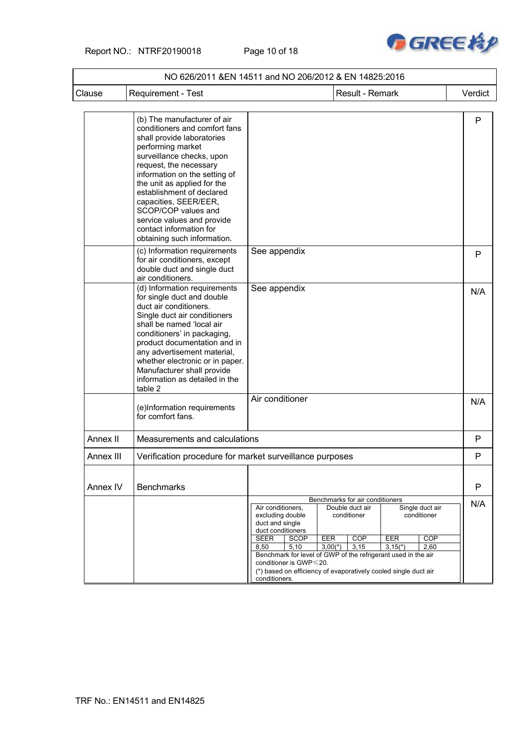Report NO.: NTRF20190018 Page 10 of 18



| Clause    |                                                                                                                                                                                                                                                                                                                                                                                                             |                                                                                                                                                                                                                                                                                                            |                                                                                                      | Result - Remark  |                                               | Verdict |
|-----------|-------------------------------------------------------------------------------------------------------------------------------------------------------------------------------------------------------------------------------------------------------------------------------------------------------------------------------------------------------------------------------------------------------------|------------------------------------------------------------------------------------------------------------------------------------------------------------------------------------------------------------------------------------------------------------------------------------------------------------|------------------------------------------------------------------------------------------------------|------------------|-----------------------------------------------|---------|
|           | Requirement - Test                                                                                                                                                                                                                                                                                                                                                                                          |                                                                                                                                                                                                                                                                                                            |                                                                                                      |                  |                                               |         |
|           | (b) The manufacturer of air<br>conditioners and comfort fans<br>shall provide laboratories<br>performing market<br>surveillance checks, upon<br>request, the necessary<br>information on the setting of<br>the unit as applied for the<br>establishment of declared<br>capacities, SEER/EER,<br>SCOP/COP values and<br>service values and provide<br>contact information for<br>obtaining such information. |                                                                                                                                                                                                                                                                                                            |                                                                                                      |                  |                                               | P       |
|           | (c) Information requirements<br>for air conditioners, except<br>double duct and single duct<br>air conditioners.                                                                                                                                                                                                                                                                                            | See appendix                                                                                                                                                                                                                                                                                               |                                                                                                      |                  |                                               | P       |
|           | (d) Information requirements<br>for single duct and double<br>duct air conditioners.<br>Single duct air conditioners<br>shall be named 'local air<br>conditioners' in packaging,<br>product documentation and in<br>any advertisement material,<br>whether electronic or in paper.<br>Manufacturer shall provide<br>information as detailed in the<br>table 2                                               | See appendix                                                                                                                                                                                                                                                                                               |                                                                                                      |                  |                                               | N/A     |
|           | (e)Information requirements<br>for comfort fans.                                                                                                                                                                                                                                                                                                                                                            | Air conditioner                                                                                                                                                                                                                                                                                            |                                                                                                      |                  |                                               | N/A     |
| Annex II  | Measurements and calculations                                                                                                                                                                                                                                                                                                                                                                               |                                                                                                                                                                                                                                                                                                            |                                                                                                      |                  |                                               | P       |
| Annex III | Verification procedure for market surveillance purposes                                                                                                                                                                                                                                                                                                                                                     |                                                                                                                                                                                                                                                                                                            |                                                                                                      |                  |                                               | P       |
| Annex IV  | <b>Benchmarks</b>                                                                                                                                                                                                                                                                                                                                                                                           |                                                                                                                                                                                                                                                                                                            |                                                                                                      |                  |                                               | P       |
|           |                                                                                                                                                                                                                                                                                                                                                                                                             | Air conditioners,<br>excluding double<br>duct and single<br>duct conditioners<br><b>SEER</b><br>SCOP<br>8,50<br>5,10<br>Benchmark for level of GWP of the refrigerant used in the air<br>conditioner is GWP $\leq$ 20.<br>(*) based on efficiency of evaporatively cooled single duct air<br>conditioners. | Benchmarks for air conditioners<br>Double duct air<br>conditioner<br>EER<br>COP<br>$3,00(*)$<br>3,15 | EER<br>$3,15(*)$ | Single duct air<br>conditioner<br>COP<br>2,60 | N/A     |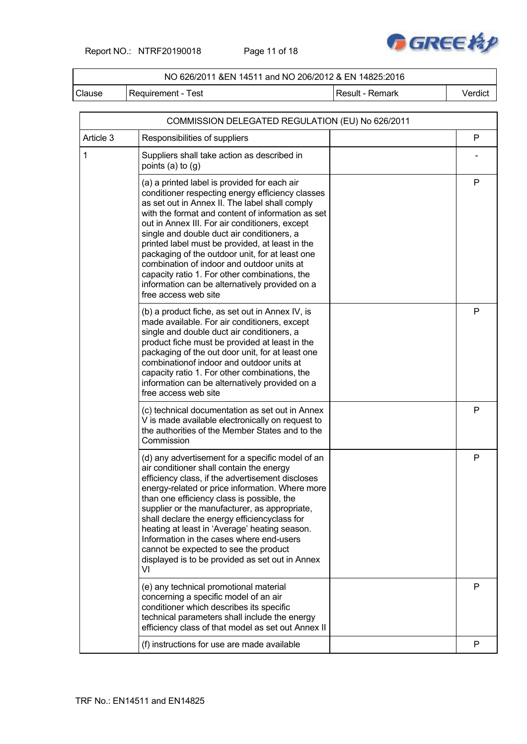Report NO.: NTRF20190018 Page 11 of 18



## NO 626/2011 &EN 14511 and NO 206/2012 & EN 14825:2016

Clause Requirement - Test Result - Result - Remark Verdict

|           | COMMISSION DELEGATED REGULATION (EU) No 626/2011                                                                                                                                                                                                                                                                                                                                                                                                                                                                                                                                       |  |   |  |  |  |
|-----------|----------------------------------------------------------------------------------------------------------------------------------------------------------------------------------------------------------------------------------------------------------------------------------------------------------------------------------------------------------------------------------------------------------------------------------------------------------------------------------------------------------------------------------------------------------------------------------------|--|---|--|--|--|
| Article 3 | Responsibilities of suppliers                                                                                                                                                                                                                                                                                                                                                                                                                                                                                                                                                          |  | P |  |  |  |
| 1         | Suppliers shall take action as described in<br>points (a) to $(g)$                                                                                                                                                                                                                                                                                                                                                                                                                                                                                                                     |  |   |  |  |  |
|           | (a) a printed label is provided for each air<br>conditioner respecting energy efficiency classes<br>as set out in Annex II. The label shall comply<br>with the format and content of information as set<br>out in Annex III. For air conditioners, except<br>single and double duct air conditioners, a<br>printed label must be provided, at least in the<br>packaging of the outdoor unit, for at least one<br>combination of indoor and outdoor units at<br>capacity ratio 1. For other combinations, the<br>information can be alternatively provided on a<br>free access web site |  | P |  |  |  |
|           | (b) a product fiche, as set out in Annex IV, is<br>made available. For air conditioners, except<br>single and double duct air conditioners, a<br>product fiche must be provided at least in the<br>packaging of the out door unit, for at least one<br>combination of indoor and outdoor units at<br>capacity ratio 1. For other combinations, the<br>information can be alternatively provided on a<br>free access web site                                                                                                                                                           |  | P |  |  |  |
|           | (c) technical documentation as set out in Annex<br>V is made available electronically on request to<br>the authorities of the Member States and to the<br>Commission                                                                                                                                                                                                                                                                                                                                                                                                                   |  | P |  |  |  |
|           | (d) any advertisement for a specific model of an<br>air conditioner shall contain the energy<br>efficiency class, if the advertisement discloses<br>energy-related or price information. Where more<br>than one efficiency class is possible, the<br>supplier or the manufacturer, as appropriate,<br>shall declare the energy efficiencyclass for<br>heating at least in 'Average' heating season.<br>Information in the cases where end-users<br>cannot be expected to see the product<br>displayed is to be provided as set out in Annex<br>VI                                      |  | P |  |  |  |
|           | (e) any technical promotional material<br>concerning a specific model of an air<br>conditioner which describes its specific<br>technical parameters shall include the energy<br>efficiency class of that model as set out Annex II                                                                                                                                                                                                                                                                                                                                                     |  | P |  |  |  |
|           | (f) instructions for use are made available                                                                                                                                                                                                                                                                                                                                                                                                                                                                                                                                            |  | P |  |  |  |
|           |                                                                                                                                                                                                                                                                                                                                                                                                                                                                                                                                                                                        |  |   |  |  |  |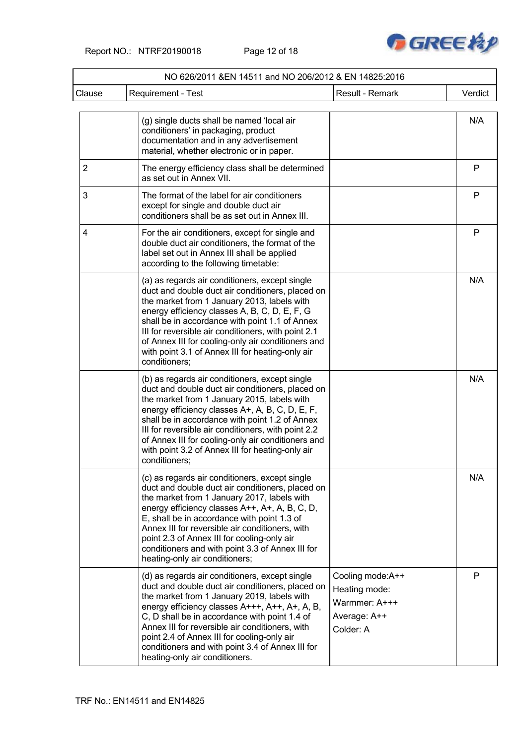Report NO.: NTRF20190018 Page 12 of 18



|                | NO 626/2011 &EN 14511 and NO 206/2012 & EN 14825:2016                                                                                                                                                                                                                                                                                                                                                                                        |                                                                                 |         |
|----------------|----------------------------------------------------------------------------------------------------------------------------------------------------------------------------------------------------------------------------------------------------------------------------------------------------------------------------------------------------------------------------------------------------------------------------------------------|---------------------------------------------------------------------------------|---------|
| Clause         | Requirement - Test                                                                                                                                                                                                                                                                                                                                                                                                                           | Result - Remark                                                                 | Verdict |
|                | (g) single ducts shall be named 'local air<br>conditioners' in packaging, product<br>documentation and in any advertisement<br>material, whether electronic or in paper.                                                                                                                                                                                                                                                                     |                                                                                 | N/A     |
| $\overline{2}$ | The energy efficiency class shall be determined<br>as set out in Annex VII.                                                                                                                                                                                                                                                                                                                                                                  |                                                                                 | P       |
| 3              | The format of the label for air conditioners<br>except for single and double duct air<br>conditioners shall be as set out in Annex III.                                                                                                                                                                                                                                                                                                      |                                                                                 | P       |
| 4              | For the air conditioners, except for single and<br>double duct air conditioners, the format of the<br>label set out in Annex III shall be applied<br>according to the following timetable:                                                                                                                                                                                                                                                   |                                                                                 | P       |
|                | (a) as regards air conditioners, except single<br>duct and double duct air conditioners, placed on<br>the market from 1 January 2013, labels with<br>energy efficiency classes A, B, C, D, E, F, G<br>shall be in accordance with point 1.1 of Annex<br>III for reversible air conditioners, with point 2.1<br>of Annex III for cooling-only air conditioners and<br>with point 3.1 of Annex III for heating-only air<br>conditioners:       |                                                                                 | N/A     |
|                | (b) as regards air conditioners, except single<br>duct and double duct air conditioners, placed on<br>the market from 1 January 2015, labels with<br>energy efficiency classes A+, A, B, C, D, E, F,<br>shall be in accordance with point 1.2 of Annex<br>III for reversible air conditioners, with point 2.2<br>of Annex III for cooling-only air conditioners and<br>with point 3.2 of Annex III for heating-only air<br>conditioners;     |                                                                                 | N/A     |
|                | (c) as regards air conditioners, except single<br>duct and double duct air conditioners, placed on<br>the market from 1 January 2017, labels with<br>energy efficiency classes A++, A+, A, B, C, D,<br>E, shall be in accordance with point 1.3 of<br>Annex III for reversible air conditioners, with<br>point 2.3 of Annex III for cooling-only air<br>conditioners and with point 3.3 of Annex III for<br>heating-only air conditioners;   |                                                                                 | N/A     |
|                | (d) as regards air conditioners, except single<br>duct and double duct air conditioners, placed on<br>the market from 1 January 2019, labels with<br>energy efficiency classes A+++, A++, A+, A, B,<br>C, D shall be in accordance with point 1.4 of<br>Annex III for reversible air conditioners, with<br>point 2.4 of Annex III for cooling-only air<br>conditioners and with point 3.4 of Annex III for<br>heating-only air conditioners. | Cooling mode:A++<br>Heating mode:<br>Warmmer: A+++<br>Average: A++<br>Colder: A | P       |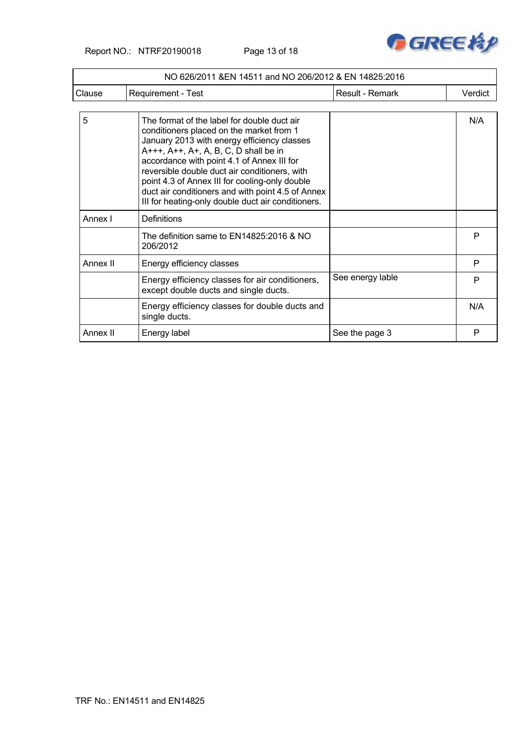Report NO.: NTRF20190018 Page 13 of 18



|          | NO 626/2011 & EN 14511 and NO 206/2012 & EN 14825:2016                                                                                                                                                                                                                                                                                                                                                                                      |                  |         |
|----------|---------------------------------------------------------------------------------------------------------------------------------------------------------------------------------------------------------------------------------------------------------------------------------------------------------------------------------------------------------------------------------------------------------------------------------------------|------------------|---------|
| Clause   | Requirement - Test                                                                                                                                                                                                                                                                                                                                                                                                                          | Result - Remark  | Verdict |
| 5        | The format of the label for double duct air<br>conditioners placed on the market from 1<br>January 2013 with energy efficiency classes<br>A+++, A++, A+, A, B, C, D shall be in<br>accordance with point 4.1 of Annex III for<br>reversible double duct air conditioners, with<br>point 4.3 of Annex III for cooling-only double<br>duct air conditioners and with point 4.5 of Annex<br>III for heating-only double duct air conditioners. |                  | N/A     |
| Annex I  | Definitions                                                                                                                                                                                                                                                                                                                                                                                                                                 |                  |         |
|          | The definition same to $EN14825:2016$ & NO<br>206/2012                                                                                                                                                                                                                                                                                                                                                                                      |                  | P       |
| Annex II | Energy efficiency classes                                                                                                                                                                                                                                                                                                                                                                                                                   |                  | P       |
|          | Energy efficiency classes for air conditioners,<br>except double ducts and single ducts.                                                                                                                                                                                                                                                                                                                                                    | See energy lable | P       |
|          | Energy efficiency classes for double ducts and<br>single ducts.                                                                                                                                                                                                                                                                                                                                                                             |                  | N/A     |
| Annex II | Energy label                                                                                                                                                                                                                                                                                                                                                                                                                                | See the page 3   | P       |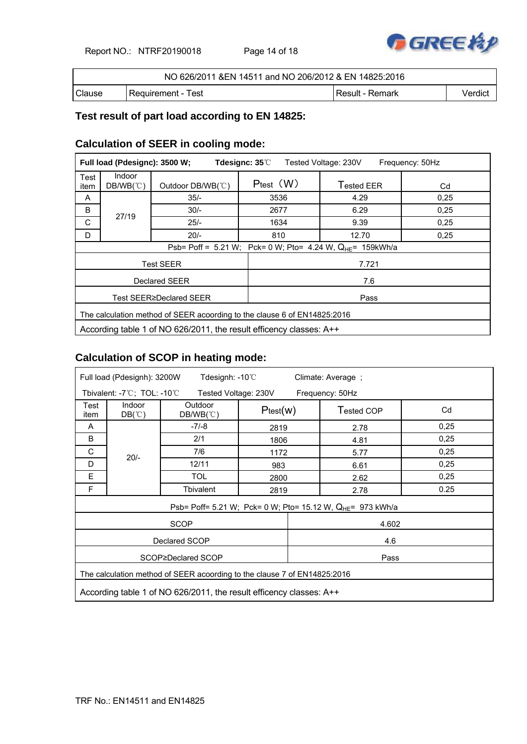Report NO.: NTRF20190018 Page 14 of 18



| NO 626/2011 & EN 14511 and NO 206/2012 & EN 14825:2016 |                    |                 |         |  |  |  |
|--------------------------------------------------------|--------------------|-----------------|---------|--|--|--|
| Clause                                                 | Requirement - Test | Result - Remark | Verdict |  |  |  |

## **Test result of part load according to EN 14825:**

## **Calculation of SEER in cooling mode:**

|              | Full load (Pdesignc): 3500 W;<br>Tdesignc: 35°C<br>Tested Voltage: 230V<br>Frequency: 50Hz |                         |                                                                |                   |      |  |  |  |
|--------------|--------------------------------------------------------------------------------------------|-------------------------|----------------------------------------------------------------|-------------------|------|--|--|--|
| Test<br>item | Indoor<br>$DB/WB(^{\circ}\mathrm{C})$                                                      | Outdoor DB/WB(°C)       | $P_{test}$ $(W)$                                               | <b>Tested EER</b> | Cd   |  |  |  |
| A            |                                                                                            | $35/-$                  | 3536                                                           | 4.29              | 0,25 |  |  |  |
| B            | 27/19                                                                                      | $30/-$                  | 2677                                                           | 6.29              | 0,25 |  |  |  |
| C            |                                                                                            | $25/-$                  | 1634                                                           | 9.39              | 0,25 |  |  |  |
| D            |                                                                                            | $20/-$                  | 810                                                            | 12.70             | 0,25 |  |  |  |
|              |                                                                                            |                         | Psb= Poff = 5.21 W; Pck= 0 W; Pto= 4.24 W, $Q_{HF}$ = 159kWh/a |                   |      |  |  |  |
|              |                                                                                            | <b>Test SEER</b>        | 7.721                                                          |                   |      |  |  |  |
|              |                                                                                            | Declared SEER           | 7.6                                                            |                   |      |  |  |  |
|              |                                                                                            | Test SEER≥Declared SEER |                                                                | Pass              |      |  |  |  |
|              | The calculation method of SEER acoording to the clause 6 of EN14825:2016                   |                         |                                                                |                   |      |  |  |  |
|              | According table 1 of NO 626/2011, the result efficency classes: A++                        |                         |                                                                |                   |      |  |  |  |

## **Calculation of SCOP in heating mode:**

| Full load (Pdesignh): 3200W<br>Tdesignh: $-10^{\circ}$<br>Climate: Average ; |                                                                     |                                                                          |          |  |                                                                        |      |  |  |
|------------------------------------------------------------------------------|---------------------------------------------------------------------|--------------------------------------------------------------------------|----------|--|------------------------------------------------------------------------|------|--|--|
|                                                                              | Tbivalent: -7°C; $TOL: -10°C$                                       | Tested Voltage: 230V                                                     |          |  | Frequency: 50Hz                                                        |      |  |  |
| Test<br>item                                                                 | Indoor<br>$DB(^\circ\mathbb{C})$                                    | Outdoor<br>$DB/WB(^{\circ}\mathrm{C})$                                   | Ptest(w) |  | Tested COP                                                             | Cd   |  |  |
| A                                                                            |                                                                     | $-7/-8$                                                                  | 2819     |  | 2.78                                                                   | 0,25 |  |  |
| B                                                                            |                                                                     | 2/1                                                                      | 1806     |  | 4.81                                                                   | 0,25 |  |  |
| C                                                                            | $20/-$                                                              | 7/6                                                                      | 1172     |  | 5.77                                                                   | 0,25 |  |  |
| D                                                                            |                                                                     | 12/11                                                                    | 983      |  | 6.61                                                                   | 0,25 |  |  |
| E                                                                            |                                                                     | <b>TOL</b>                                                               | 2800     |  | 2.62                                                                   | 0,25 |  |  |
| F                                                                            |                                                                     | Tbivalent                                                                | 2819     |  | 2.78                                                                   | 0.25 |  |  |
|                                                                              |                                                                     |                                                                          |          |  | Psb= Poff= 5.21 W; Pck= 0 W; Pto= 15.12 W, Q <sub>HE</sub> = 973 kWh/a |      |  |  |
|                                                                              |                                                                     | <b>SCOP</b>                                                              |          |  | 4.602                                                                  |      |  |  |
|                                                                              |                                                                     | Declared SCOP                                                            |          |  | 4.6                                                                    |      |  |  |
|                                                                              |                                                                     | SCOP≥Declared SCOP                                                       |          |  | Pass                                                                   |      |  |  |
|                                                                              |                                                                     | The calculation method of SEER acoording to the clause 7 of EN14825:2016 |          |  |                                                                        |      |  |  |
|                                                                              | According table 1 of NO 626/2011, the result efficency classes: A++ |                                                                          |          |  |                                                                        |      |  |  |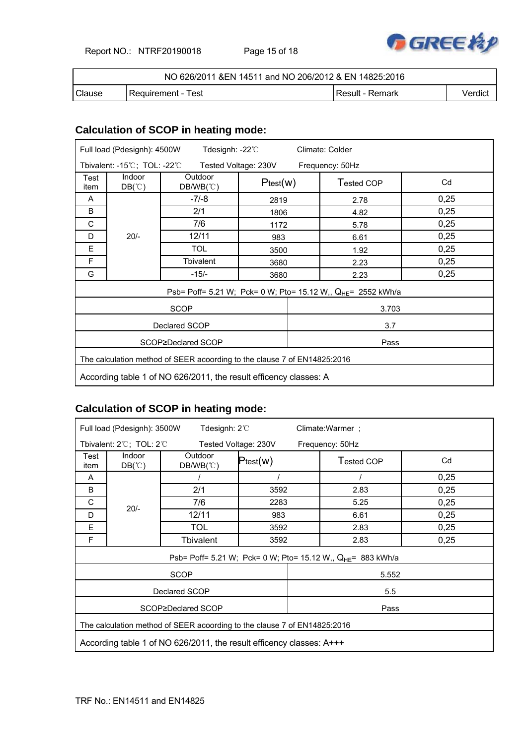Report NO.: NTRF20190018 Page 15 of 18



| NO 626/2011 & EN 14511 and NO 206/2012 & EN 14825:2016 |                    |                  |         |  |  |  |
|--------------------------------------------------------|--------------------|------------------|---------|--|--|--|
| <b>Clause</b>                                          | Requirement - Test | ⊺Result - Remark | √erdict |  |  |  |

# **Calculation of SCOP in heating mode:**

|              | Full load (Pdesignh): 4500W                                              | Tdesignh: $-22^{\circ}$                |                      |     | Climate: Colder                                                          |      |  |  |
|--------------|--------------------------------------------------------------------------|----------------------------------------|----------------------|-----|--------------------------------------------------------------------------|------|--|--|
|              | Tbivalent: -15°C; TOL: -22°C                                             |                                        | Tested Voltage: 230V |     | Frequency: 50Hz                                                          |      |  |  |
| Test<br>item | Indoor<br>$DB(^\circ\mathbb{C})$                                         | Outdoor<br>$DB/WB(^{\circ}\mathrm{C})$ | Ptest(w)             |     | Tested COP                                                               | Cd   |  |  |
| A            |                                                                          | $-7/-8$                                | 2819                 |     | 2.78                                                                     | 0,25 |  |  |
| B            |                                                                          | 2/1                                    | 1806                 |     | 4.82                                                                     | 0,25 |  |  |
| C            |                                                                          | 7/6                                    | 1172                 |     | 5.78                                                                     | 0,25 |  |  |
| D            | $20/-$                                                                   | 12/11                                  | 983                  |     | 6.61                                                                     | 0,25 |  |  |
| E            |                                                                          | <b>TOL</b>                             | 3500                 |     | 1.92                                                                     | 0,25 |  |  |
| F            |                                                                          | Tbivalent                              | 3680                 |     | 2.23                                                                     | 0,25 |  |  |
| G            |                                                                          | $-15/-$                                | 3680                 |     | 2.23                                                                     | 0,25 |  |  |
|              |                                                                          |                                        |                      |     | Psb= Poff= 5.21 W; Pck= 0 W; Pto= 15.12 W,, Q <sub>HE</sub> = 2552 kWh/a |      |  |  |
|              |                                                                          | <b>SCOP</b>                            |                      |     | 3.703                                                                    |      |  |  |
|              |                                                                          | Declared SCOP                          |                      | 3.7 |                                                                          |      |  |  |
|              |                                                                          | SCOP≥Declared SCOP                     |                      |     | Pass                                                                     |      |  |  |
|              | The calculation method of SEER acoording to the clause 7 of EN14825:2016 |                                        |                      |     |                                                                          |      |  |  |
|              | According table 1 of NO 626/2011, the result efficency classes: A        |                                        |                      |     |                                                                          |      |  |  |

# **Calculation of SCOP in heating mode:**

| Full load (Pdesignh): 3500W<br>Tdesignh: $2^{\circ}$<br>Climate: Warmer: |                                                                          |                                        |                      |                                                                         |      |  |  |  |
|--------------------------------------------------------------------------|--------------------------------------------------------------------------|----------------------------------------|----------------------|-------------------------------------------------------------------------|------|--|--|--|
|                                                                          | Tbivalent: $2^{\circ}$ C; TOL: $2^{\circ}$ C                             |                                        | Tested Voltage: 230V | Frequency: 50Hz                                                         |      |  |  |  |
| Test<br>item                                                             | Indoor<br>$DB(^\circ\mathbb{C})$                                         | Outdoor<br>$DB/WB(^{\circ}\mathrm{C})$ | $P_{test}(w)$        | Tested COP                                                              | Cd   |  |  |  |
| A                                                                        |                                                                          |                                        |                      |                                                                         | 0,25 |  |  |  |
| B                                                                        |                                                                          | 2/1                                    | 3592                 | 2.83                                                                    | 0,25 |  |  |  |
| С                                                                        | $20/-$                                                                   | 7/6                                    | 2283                 | 5.25                                                                    | 0,25 |  |  |  |
| D                                                                        |                                                                          | 12/11                                  | 983                  | 6.61                                                                    | 0,25 |  |  |  |
| E                                                                        |                                                                          | <b>TOL</b>                             | 3592                 | 2.83                                                                    | 0,25 |  |  |  |
| F                                                                        |                                                                          | <b>Tbivalent</b>                       | 3592                 | 2.83                                                                    | 0,25 |  |  |  |
|                                                                          |                                                                          |                                        |                      | Psb= Poff= 5.21 W; Pck= 0 W; Pto= 15.12 W,, Q <sub>HE</sub> = 883 kWh/a |      |  |  |  |
|                                                                          |                                                                          | <b>SCOP</b>                            |                      | 5.552                                                                   |      |  |  |  |
|                                                                          |                                                                          | Declared SCOP                          |                      | 5.5                                                                     |      |  |  |  |
|                                                                          |                                                                          | SCOP≥Declared SCOP                     |                      | Pass                                                                    |      |  |  |  |
|                                                                          | The calculation method of SEER acoording to the clause 7 of EN14825:2016 |                                        |                      |                                                                         |      |  |  |  |
|                                                                          | According table 1 of NO 626/2011, the result efficency classes: A+++     |                                        |                      |                                                                         |      |  |  |  |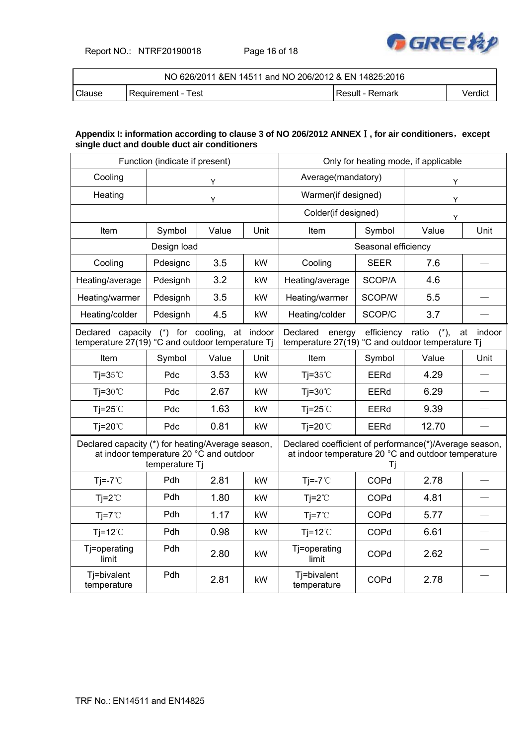Report NO.: NTRF20190018 Page 16 of 18



| NO 626/2011 & EN 14511 and NO 206/2012 & EN 14825:2016 |                      |                   |         |  |  |  |
|--------------------------------------------------------|----------------------|-------------------|---------|--|--|--|
| Clause                                                 | I Requirement - Test | I Result - Remark | Verdict |  |  |  |

## **Appendix I: information according to clause 3 of NO 206/2012 ANNEX**Ⅰ**, for air conditioners**,**except single duct and double duct air conditioners**

| Function (indicate if present)                                                                   |                |       |      | Only for heating mode, if applicable                                                                          |                     |                 |              |
|--------------------------------------------------------------------------------------------------|----------------|-------|------|---------------------------------------------------------------------------------------------------------------|---------------------|-----------------|--------------|
| Cooling                                                                                          | Y              |       |      | Average(mandatory)                                                                                            |                     | Y               |              |
| Heating                                                                                          |                | Y.    |      | Warmer(if designed)                                                                                           |                     | Υ               |              |
|                                                                                                  |                |       |      | Colder(if designed)                                                                                           |                     | Y               |              |
| Item                                                                                             | Symbol         | Value | Unit | Item                                                                                                          | Symbol              | Value           | Unit         |
|                                                                                                  | Design load    |       |      |                                                                                                               | Seasonal efficiency |                 |              |
| Cooling                                                                                          | Pdesignc       | 3.5   | kW   | Cooling                                                                                                       | <b>SEER</b>         | 7.6             |              |
| Heating/average                                                                                  | Pdesignh       | 3.2   | kW   | Heating/average                                                                                               | SCOP/A              | 4.6             |              |
| Heating/warmer                                                                                   | Pdesignh       | 3.5   | kW   | Heating/warmer                                                                                                | SCOP/W              | 5.5             |              |
| Heating/colder                                                                                   | Pdesignh       | 4.5   | kW   | Heating/colder                                                                                                | SCOP/C              | 3.7             |              |
| Declared capacity (*) for cooling, at indoor<br>temperature 27(19) °C and outdoor temperature Tj |                |       |      | Declared<br>energy<br>temperature 27(19) °C and outdoor temperature Tj                                        | efficiency          | ratio<br>$(*),$ | indoor<br>at |
| Item                                                                                             | Symbol         | Value | Unit | Item                                                                                                          | Symbol              | Value           | Unit         |
| Tj= $35^{\circ}$ C                                                                               | Pdc            | 3.53  | kW   | Tj= $35^{\circ}$ C                                                                                            | EERd                | 4.29            |              |
| $Ti=30^{\circ}C$                                                                                 | Pdc            | 2.67  | kW   | $Ti=30^{\circ}C$                                                                                              | <b>EERd</b>         | 6.29            | $\equiv$     |
| Tj=25 $°C$                                                                                       | Pdc            | 1.63  | kW   | Tj=25 $°C$                                                                                                    | EERd                | 9.39            |              |
| $Tj = 20^{\circ}$                                                                                | Pdc            | 0.81  | kW   | Tj=20 $°C$                                                                                                    | <b>EERd</b>         | 12.70           |              |
| Declared capacity (*) for heating/Average season,<br>at indoor temperature 20 °C and outdoor     | temperature Tj |       |      | Declared coefficient of performance(*)/Average season,<br>at indoor temperature 20 °C and outdoor temperature | Tj                  |                 |              |
| $Ti=-7^{\circ}C$                                                                                 | Pdh            | 2.81  | kW   | $Ti=-7^{\circ}C$                                                                                              | COPd                | 2.78            |              |
| $Ti=2^{\circ}C$                                                                                  | Pdh            | 1.80  | kW   | $Ti=2^{\circ}C$                                                                                               | <b>COPd</b>         | 4.81            |              |
| $Ti=7^{\circ}C$                                                                                  | Pdh            | 1.17  | kW   | $Ti=7^{\circ}C$                                                                                               | COPd                | 5.77            |              |
| $Ti=12^{\circ}$                                                                                  | Pdh            | 0.98  | kW   | $Tj=12^{\circ}C$                                                                                              | COPd                | 6.61            |              |
| Tj=operating<br>limit                                                                            | Pdh            | 2.80  | kW   | Tj=operating<br>limit                                                                                         | <b>COPd</b>         | 2.62            |              |
| Tj=bivalent<br>temperature                                                                       | Pdh            | 2.81  | kW   | Tj=bivalent<br>temperature                                                                                    | COPd                | 2.78            |              |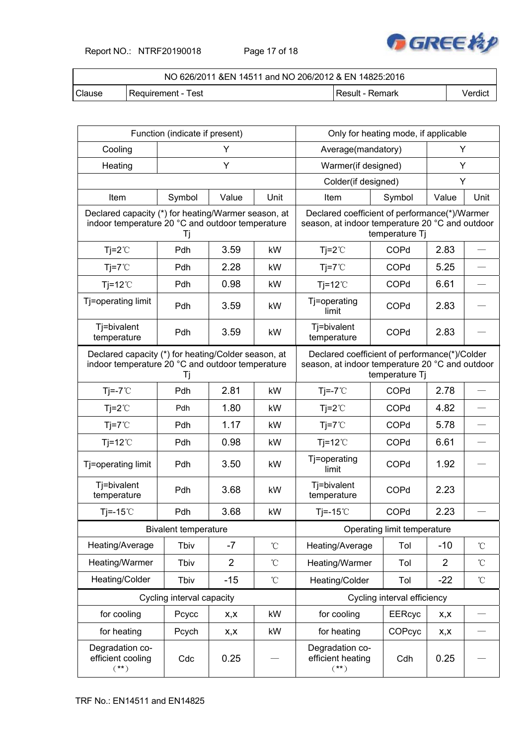Report NO.: NTRF20190018 Page 17 of 18



| NO 626/2011 & EN 14511 and NO 206/2012 & EN 14825:2016 |                    |                   |         |  |  |  |
|--------------------------------------------------------|--------------------|-------------------|---------|--|--|--|
| Clause                                                 | Requirement - Test | l Result - Remark | √erdict |  |  |  |

| Function (indicate if present)                                                                                |                             |                     |                                                                                                                    | Only for heating mode, if applicable                                                             |                             |                |                 |
|---------------------------------------------------------------------------------------------------------------|-----------------------------|---------------------|--------------------------------------------------------------------------------------------------------------------|--------------------------------------------------------------------------------------------------|-----------------------------|----------------|-----------------|
| Cooling                                                                                                       |                             | Y                   |                                                                                                                    | Average(mandatory)                                                                               |                             | Y              |                 |
| Heating                                                                                                       | Y                           |                     | Warmer(if designed)                                                                                                |                                                                                                  | Υ                           |                |                 |
|                                                                                                               |                             | Colder(if designed) |                                                                                                                    | Y                                                                                                |                             |                |                 |
| Item                                                                                                          | Symbol                      | Value               | Unit                                                                                                               | Item                                                                                             | Symbol                      | Value          | Unit            |
| Declared capacity (*) for heating/Warmer season, at<br>indoor temperature 20 °C and outdoor temperature       | Tj                          |                     |                                                                                                                    | Declared coefficient of performance(*)/Warmer<br>season, at indoor temperature 20 °C and outdoor | temperature Tj              |                |                 |
| $Tj = 2^{\circ}C$                                                                                             | Pdh                         | 3.59                | kW                                                                                                                 | $Tj = 2^{\circ}C$                                                                                | COPd                        | 2.83           |                 |
| $Tj = 7^{\circ}C$                                                                                             | Pdh                         | 2.28                | kW                                                                                                                 | $Tj = 7^{\circ}C$                                                                                | COPd                        | 5.25           |                 |
| $Tj=12^{\circ}C$                                                                                              | Pdh                         | 0.98                | kW                                                                                                                 | $Tj=12^{\circ}C$                                                                                 | COPd                        | 6.61           |                 |
| Tj=operating limit                                                                                            | Pdh                         | 3.59                | kW                                                                                                                 | Tj=operating<br>limit                                                                            | COPd                        | 2.83           |                 |
| Tj=bivalent<br>temperature                                                                                    | Pdh                         | 3.59                | kW                                                                                                                 | Tj=bivalent<br>temperature                                                                       | COPd                        | 2.83           |                 |
| Declared capacity (*) for heating/Colder season, at<br>indoor temperature 20 °C and outdoor temperature<br>Τj |                             |                     | Declared coefficient of performance(*)/Colder<br>season, at indoor temperature 20 °C and outdoor<br>temperature Ti |                                                                                                  |                             |                |                 |
| $Ti=-7^{\circ}C$                                                                                              | Pdh                         | 2.81                | kW                                                                                                                 | $Ti=-7^{\circ}C$                                                                                 | COPd                        | 2.78           |                 |
| $Tj = 2^{\circ}C$                                                                                             | Pdh                         | 1.80                | kW                                                                                                                 | $Tj = 2^{\circ}C$                                                                                | COPd                        | 4.82           |                 |
| $Tj = 7^{\circ}C$                                                                                             | Pdh                         | 1.17                | kW                                                                                                                 | $Ti=7^{\circ}C$                                                                                  | COPd                        | 5.78           |                 |
| $Ti=12^{\circ}C$                                                                                              | Pdh                         | 0.98                | kW                                                                                                                 | $Ti=12^{\circ}$                                                                                  | COPd                        | 6.61           |                 |
| Tj=operating limit                                                                                            | Pdh                         | 3.50                | kW                                                                                                                 | Tj=operating<br>limit                                                                            | COPd                        | 1.92           |                 |
| Tj=bivalent<br>temperature                                                                                    | Pdh                         | 3.68                | kW                                                                                                                 | Tj=bivalent<br>temperature                                                                       | COPd                        | 2.23           |                 |
| Tj = $-15^{\circ}$ C                                                                                          | Pdh                         | 3.68                | kW                                                                                                                 | Tj=-15 $°C$                                                                                      | COPd                        | 2.23           |                 |
|                                                                                                               | <b>Bivalent temperature</b> |                     |                                                                                                                    |                                                                                                  | Operating limit temperature |                |                 |
| Heating/Average                                                                                               | Tbiv                        | $-7$                | $^\circ\!{\rm C}$                                                                                                  | Heating/Average                                                                                  | Tol                         | $-10$          | $\rm ^{\circ}C$ |
| Heating/Warmer                                                                                                | Tbiv                        | $\overline{2}$      | $\rm ^{\circ}C$                                                                                                    | Heating/Warmer                                                                                   | Tol                         | $\overline{2}$ | $\rm ^{\circ}C$ |
| Heating/Colder                                                                                                | Tbiv                        | $-15$               | $\rm ^{\circ}C$                                                                                                    | Heating/Colder                                                                                   | Tol                         | $-22$          | $\rm ^{\circ}C$ |
|                                                                                                               | Cycling interval capacity   |                     |                                                                                                                    |                                                                                                  | Cycling interval efficiency |                |                 |
| for cooling                                                                                                   | Pcycc                       | x,x                 | kW                                                                                                                 | for cooling                                                                                      | <b>EERcyc</b>               | X, X           |                 |
| for heating                                                                                                   | Pcych                       | x,x                 | kW                                                                                                                 | for heating                                                                                      | COPcyc                      | X, X           |                 |
| Degradation co-<br>efficient cooling<br>$(**)$                                                                | Cdc                         | 0.25                |                                                                                                                    | Degradation co-<br>efficient heating<br>$(**)$                                                   | Cdh                         | 0.25           |                 |